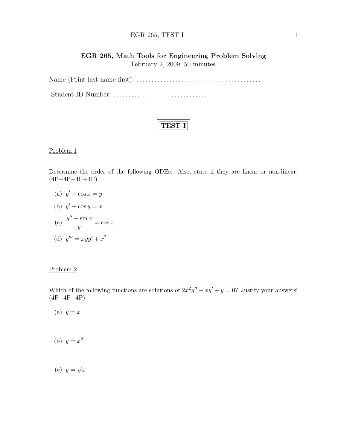### EGR 265, TEST I 1

# EGR 265, Math Tools for Engineering Problem Solving February 2, 2009, 50 minutes

Name (Print last name first): . . . . . . . . . . . . . . . . . . . . . . . . . . . . . . . . . . . . . . . . . . Student ID Number: . . . . . . . . . . . . . . . . . . . . . . . . . . .

#### Problem 1

Determine the order of the following ODEs. Also, state if they are linear or non-linear.  $(4P+4P+4P+4P)$ 

(a)  $y' + \cos x = y$ 

(b) 
$$
y' + \cos y = x
$$

(c) 
$$
\frac{y'' - \sin x}{y} = \cos x
$$
  
(d) 
$$
y''' = xyy' + x^2
$$

#### Problem 2

Which of the following functions are solutions of  $2x^2y'' - xy' + y = 0$ ? Justify your answers!  $(4P+4P+4P)$ 

(a)  $y = x$ 

- (b)  $y = x^2$
- $(c)$   $y =$ √  $\overline{x}$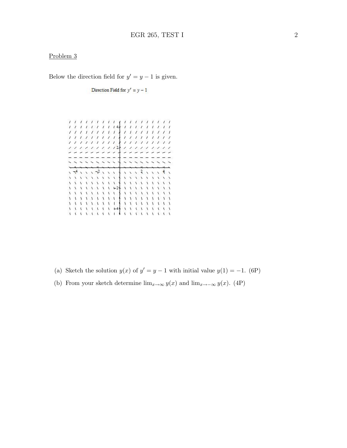Below the direction field for  $y' = y - 1$  is given.

Direction Field for  $y' = y - 1$ 

| 112/1<br>-----<br>.<br>$\sim$ $\sim$ $\sim$<br>$\sim$ $\sim$ $\sim$ $\sim$ $\sim$ $\sim$<br>$\sqrt{3}$<br>$\sqrt{3}$<br>$\sqrt{1}$<br>$\Delta$ , $\Delta$ , $\Delta$<br>$\mathbf{r}$<br>$\sqrt{2}$<br>$\sqrt{1}$<br>k.<br>$V = V - V - V$<br>$\sqrt{1}$<br>$\mathbf{1}$<br>À.<br>$\begin{matrix} 1 & 1 \\ 1 & 1 \end{matrix}$<br>ý.<br>$\mathcal{L}$<br>$\sqrt{2}$<br>$\mathbf{1}$<br>Y.<br>i.<br>$\mathcal{L} \left( \mathcal{L} \right)$<br>$\overline{1}$<br>ł.<br>111<br>Ù.<br>$V = V - V$<br>i.<br>Ċ<br>$V = V = V$<br>Ċ |  |  |  |  |  |  |  |  |  |
|-------------------------------------------------------------------------------------------------------------------------------------------------------------------------------------------------------------------------------------------------------------------------------------------------------------------------------------------------------------------------------------------------------------------------------------------------------------------------------------------------------------------------------|--|--|--|--|--|--|--|--|--|
|                                                                                                                                                                                                                                                                                                                                                                                                                                                                                                                               |  |  |  |  |  |  |  |  |  |
|                                                                                                                                                                                                                                                                                                                                                                                                                                                                                                                               |  |  |  |  |  |  |  |  |  |
|                                                                                                                                                                                                                                                                                                                                                                                                                                                                                                                               |  |  |  |  |  |  |  |  |  |
|                                                                                                                                                                                                                                                                                                                                                                                                                                                                                                                               |  |  |  |  |  |  |  |  |  |
|                                                                                                                                                                                                                                                                                                                                                                                                                                                                                                                               |  |  |  |  |  |  |  |  |  |
|                                                                                                                                                                                                                                                                                                                                                                                                                                                                                                                               |  |  |  |  |  |  |  |  |  |
|                                                                                                                                                                                                                                                                                                                                                                                                                                                                                                                               |  |  |  |  |  |  |  |  |  |
|                                                                                                                                                                                                                                                                                                                                                                                                                                                                                                                               |  |  |  |  |  |  |  |  |  |
|                                                                                                                                                                                                                                                                                                                                                                                                                                                                                                                               |  |  |  |  |  |  |  |  |  |
|                                                                                                                                                                                                                                                                                                                                                                                                                                                                                                                               |  |  |  |  |  |  |  |  |  |
|                                                                                                                                                                                                                                                                                                                                                                                                                                                                                                                               |  |  |  |  |  |  |  |  |  |
|                                                                                                                                                                                                                                                                                                                                                                                                                                                                                                                               |  |  |  |  |  |  |  |  |  |
|                                                                                                                                                                                                                                                                                                                                                                                                                                                                                                                               |  |  |  |  |  |  |  |  |  |
|                                                                                                                                                                                                                                                                                                                                                                                                                                                                                                                               |  |  |  |  |  |  |  |  |  |
|                                                                                                                                                                                                                                                                                                                                                                                                                                                                                                                               |  |  |  |  |  |  |  |  |  |
|                                                                                                                                                                                                                                                                                                                                                                                                                                                                                                                               |  |  |  |  |  |  |  |  |  |
|                                                                                                                                                                                                                                                                                                                                                                                                                                                                                                                               |  |  |  |  |  |  |  |  |  |
|                                                                                                                                                                                                                                                                                                                                                                                                                                                                                                                               |  |  |  |  |  |  |  |  |  |
|                                                                                                                                                                                                                                                                                                                                                                                                                                                                                                                               |  |  |  |  |  |  |  |  |  |

- (a) Sketch the solution  $y(x)$  of  $y' = y 1$  with initial value  $y(1) = -1$ . (6P)
- (b) From your sketch determine  $\lim_{x\to\infty} y(x)$  and  $\lim_{x\to-\infty} y(x)$ . (4P)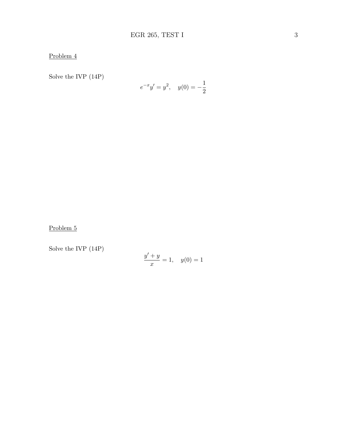Solve the IVP (14P)

$$
e^{-x}y' = y^2, \quad y(0) = -\frac{1}{2}
$$

Problem 5

Solve the IVP (14P)

$$
\frac{y' + y}{x} = 1, \quad y(0) = 1
$$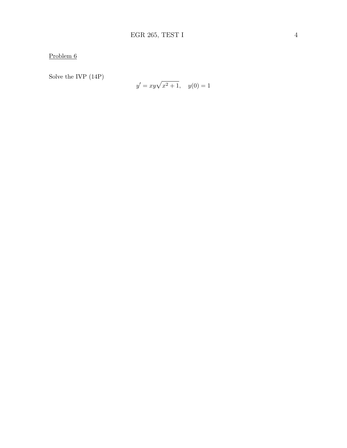Solve the IVP  $(14P)$ 

$$
y' = xy\sqrt{x^2 + 1}, \quad y(0) = 1
$$